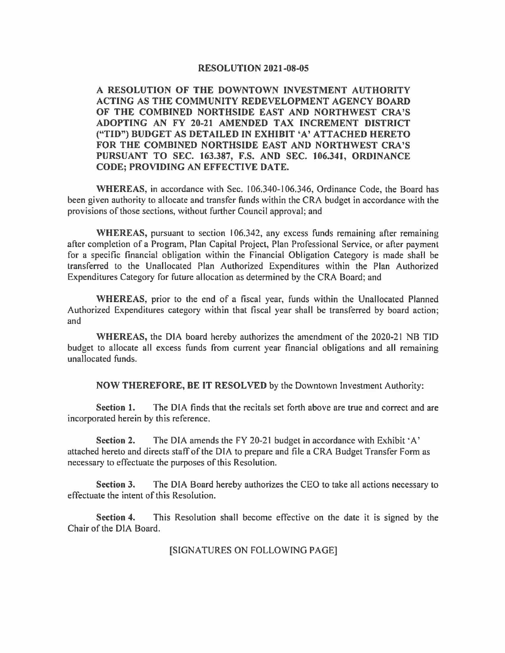#### **RESOLUTION 2021-08-05**

**A RESOLUTION OF THE DOWNTOWN INVESTMENT AUTHORITY ACTING AS THE COMMUNITY REDEVELOPMENT AGENCY BOARD OF THE COMBINED NORTHSIDE EAST AND NORTHWEST CRA'S ADOPTING AN FY 20-21 AMENDED TAX INCREMENT DISTRICT ("TID") BUDGET AS DETAILED IN EXHIBIT 'A' ATTACHED HERETO FOR THE COMBINED NORTHSIDE EAST AND NORTHWEST CRA'S PURSUANT TO SEC. 163.387, F.S. AND SEC. 106.341, ORDINANCE CODE; PROVIDING AN EFFECTIVE DATE.** 

**WHEREAS,** in accordance with Sec. I 06.340-106.346, Ordinance Code, the Board has been given authority to allocate and transfer funds within the CRA budget in accordance with the provisions of those sections, without further Council approval; and

WHEREAS, pursuant to section 106.342, any excess funds remaining after remaining after completion of a Program, Plan Capital Project, Plan Professional Service, or after payment for a specific financial obligation within the Financial Obligation Category is made shall be transferred to the Unallocated Plan Authorized Expenditures within the Plan Authorized Expenditures Category for future allocation as determined by the CRA Board; and

**WHEREAS,** prior to the end of a fiscal year, funds within the Unallocated Planned Authorized Expenditures category within that fiscal year shall be transferred by board action; and

**WHEREAS,** the DIA board hereby authorizes the amendment of the 2020-21 NB TID budget to allocate all excess funds from current year financial obligations and all remaining unallocated funds.

**NOW THEREFORE, BE IT RESOLVED** by the Downtown Investment Authority:

**Section 1.** The DIA finds that the recitals set forth above are true and correct and are incorporated herein by this reference.

**Section 2.** The DIA amends the FY 20-21 budget in accordance with Exhibit 'A' attached hereto and directs staff of the DIA to prepare and file a CRA Budget Transfer Form as necessary to effectuate the purposes of this Resolution.

**Section 3.** The DIA Board hereby authorizes the CEO to take all actions necessary to effectuate the intent of this Resolution.

**Section 4.** This Resolution shall become effective on the date it is signed by the Chair of the DIA Board.

#### [SIGNATURES ON FOLLOWING PAGE]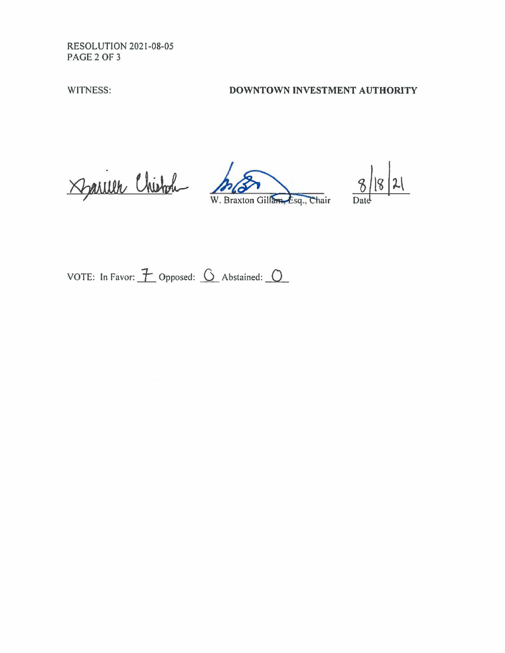RESOLUTION 2021-08-05 PAGE2OF3

# WITNESS: **DOWNTOWN INVESTMENT AUTHORITY**

Darien Chistole MBrazion

M. Braxton Gillam Esq., Chair

 $8|8|21$ 

VOTE: In Favor:  $\overline{1}$  Opposed:  $\overline{0}$  Abstained:  $\overline{0}$